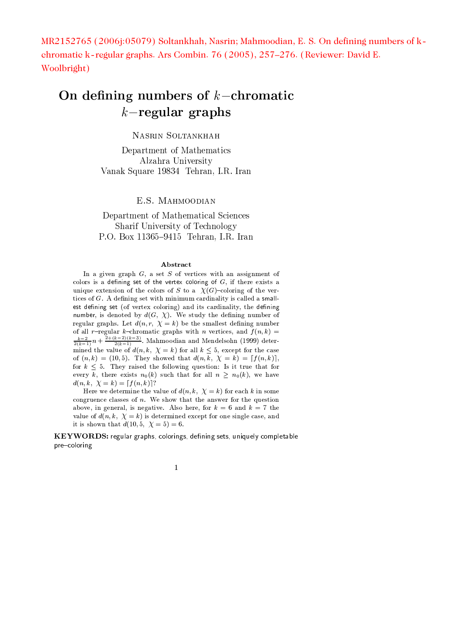MR2152765 (2006):05079) Soltankhah, Nasrin; Mahmoodian, E. S. On defining numbers of kchromatic k-regular graphs. Ars Combin. 76 (2005), 257–276. (Reviewer: David E. Woolbright)

# On defining numbers of  $k$ -chromatic  $k$ -regular graphs

NASRIN SOLTANKHAH

Department of Mathematics Alzahra University Vanak Square 19834 Tehran, I.R. Iran

E.S. MAHMOODIAN

Department of Mathematical Sciences Sharif University of Technology P.O. Box 11365-9415 Tehran, I.R. Iran

### Abstract

In a given graph  $G$ , a set  $S$  of vertices with an assignment of colors is a defining set of the vertex coloring of  $G$ , if there exists a unique extension of the colors of S to a  $\chi(G)$ -coloring of the vertices of  $G$ . A defining set with minimum cardinality is called a smallest defining set (of vertex coloring) and its cardinality, the defining number, is denoted by  $d(G, \chi)$ . We study the defining number of regular graphs. Let  $d(n, r, \chi = k)$  be the smallest defining number of all r-regular k-chromatic graphs with n vertices, and  $f(n, k)$  =  $\frac{k-2}{2(k-1)}n + \frac{2+(k-2)(k-3)}{2(k-1)}$ . Mahmoodian and Mendelsohn (1999) determined the value of  $d(n, k, \chi = k)$  for all  $k \leq 5$ , except for the case of  $(n, k) = (10, 5)$ . They showed that  $d(n, k, \chi = k) = [f(n, k)],$ for  $k \leq 5$ . They raised the following question: Is it true that for every k, there exists  $n_0(k)$  such that for all  $n \geq n_0(k)$ , we have  $d(n, k, \chi = k) = \lceil f(n, k) \rceil$ ?

Here we determine the value of  $d(n, k, \chi = k)$  for each k in some congruence classes of  $n$ . We show that the answer for the question above, in general, is negative. Also here, for  $k = 6$  and  $k = 7$  the value of  $d(n, k, \chi = k)$  is determined except for one single case, and it is shown that  $d(10, 5, \chi = 5) = 6$ .

KEYWORDS: regular graphs, colorings, defining sets, uniquely completable pre-coloring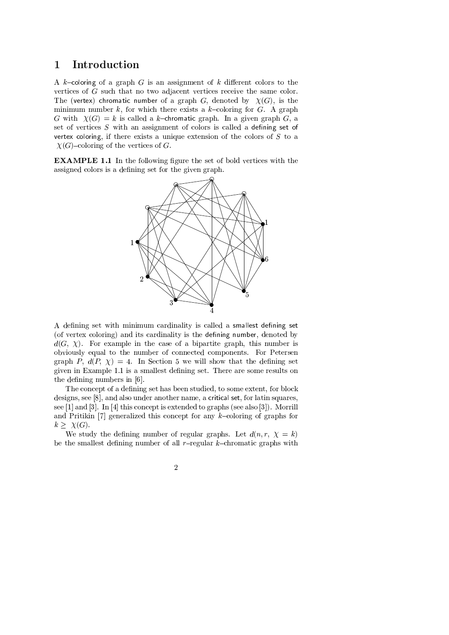### Introduction  $\mathbf{1}$

A k-coloring of a graph  $G$  is an assignment of k different colors to the vertices of  $G$  such that no two adjacent vertices receive the same color. The (vertex) chromatic number of a graph G, denoted by  $\chi(G)$ , is the minimum number k, for which there exists a k-coloring for G. A graph G with  $\chi(G) = k$  is called a k-chromatic graph. In a given graph G, a set of vertices  $S$  with an assignment of colors is called a defining set of vertex coloring, if there exists a unique extension of the colors of  $S$  to a  $\chi(G)$ -coloring of the vertices of G.

**EXAMPLE 1.1** In the following figure the set of bold vertices with the assigned colors is a defining set for the given graph.



A defining set with minimum cardinality is called a smallest defining set (of vertex coloring) and its cardinality is the defining number, denoted by  $d(G, \chi)$ . For example in the case of a bipartite graph, this number is obviously equal to the number of connected components. For Petersen graph P,  $d(P, \chi) = 4$ . In Section 5 we will show that the defining set given in Example 1.1 is a smallest defining set. There are some results on the defining numbers in [6].

The concept of a defining set has been studied, to some extent, for block designs, see [8], and also under another name, a critical set, for latin squares, see [1] and [3]. In [4] this concept is extended to graphs (see also [3]). Morrill and Pritikin  $[7]$  generalized this concept for any k-coloring of graphs for  $k > \chi(G)$ .

We study the defining number of regular graphs. Let  $d(n, r, \chi = k)$ be the smallest defining number of all  $r$ -regular k-chromatic graphs with

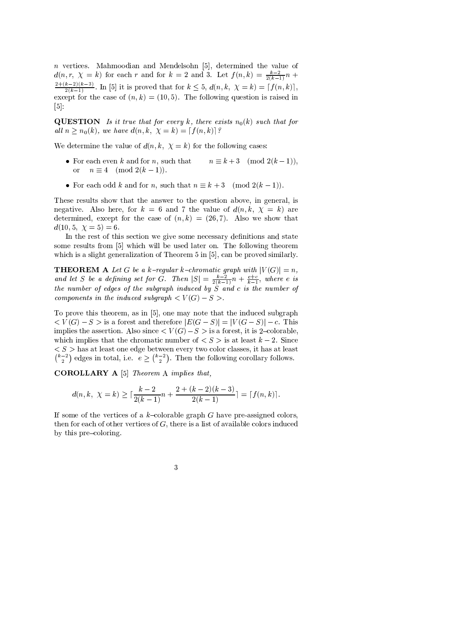$n$  vertices. Mahmoodian and Mendelsohn [5], determined the value of  $d(n,r, \chi = k)$  for each r and for  $k = 2$  and 3. Let  $f(n,k) = \frac{k-2}{2(k-1)}n$  +  $\frac{2+(k-2)(k-3)}{2(k-1)}$ . In [5] it is proved that for  $k \leq 5$ ,  $d(n, k, \chi = k) = [f(n, k)],$ except for the case of  $(n, k) = (10, 5)$ . The following question is raised in  $\lceil 5 \rceil$ :

**QUESTION** Is it true that for every k, there exists  $n_0(k)$  such that for all  $n \geq n_0(k)$ , we have  $d(n, k, \chi = k) = [f(n, k)]$ ?

We determine the value of  $d(n, k, \chi = k)$  for the following cases:

- For each even  $k$  and for  $n$ , such that  $n \equiv k+3 \pmod{2(k-1)},$  $n \equiv 4 \pmod{2(k-1)}$ .  $\alpha$ r
- For each odd k and for n, such that  $n \equiv k + 3 \pmod{2(k-1)}$ .

These results show that the answer to the question above, in general, is negative. Also here, for  $k = 6$  and 7 the value of  $d(n, k, \chi = k)$  are determined, except for the case of  $(n, k) = (26, 7)$ . Also we show that  $d(10,5, \ \chi = 5) = 6.$ 

In the rest of this section we give some necessary definitions and state some results from [5] which will be used later on. The following theorem which is a slight generalization of Theorem 5 in [5], can be proved similarly.

**THEOREM A** Let G be a k-regular k-chromatic graph with  $|V(G)| = n$ ,<br>and let S be a defining set for G. Then  $|S| = \frac{k-2}{2(k-1)}n + \frac{e+c}{k-1}$ , where e is the number of edges of the subgraph induced by  $S$  and c is the number of components in the induced subgraph  $\lt V(G) - S >$ .

To prove this theorem, as in [5], one may note that the induced subgraph  $\langle V(G)-S\rangle$  is a forest and therefore  $|E(G-S)|=|V(G-S)|-c$ . This implies the assertion. Also since  $\langle V(G)-S\rangle$  is a forest, it is 2-colorable, which implies that the chromatic number of  $\langle S \rangle$  is at least  $k-2$ . Since  $\langle S \rangle$  has at least one edge between every two color classes, it has at least  $\binom{k-2}{2}$  edges in total, i.e.  $e \geq \binom{k-2}{2}$ . Then the following corollary follows.

**COROLLARY** A [5] Theorem A implies that,

$$
d(n,k, \ \chi = k) \ge \lceil \frac{k-2}{2(k-1)}n + \frac{2 + (k-2)(k-3)}{2(k-1)} \rceil = \lceil f(n,k) \rceil
$$

If some of the vertices of a k-colorable graph G have pre-assigned colors. then for each of other vertices of  $G$ , there is a list of available colors induced by this pre-coloring.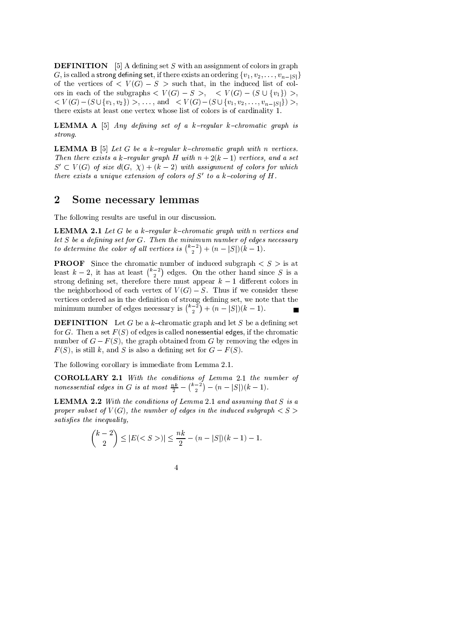**DEFINITION** [5] A defining set S with an assignment of colors in graph G, is called a strong defining set, if there exists an ordering  $\{v_1, v_2, \ldots, v_{n-|S|}\}$ of the vertices of  $\langle V(G) - S \rangle$  such that, in the induced list of colors in each of the subgraphs  $\langle V(G) - S \rangle$ ,  $\langle V(G) - (S \cup \{v_1\}) \rangle$ ,  $\langle V(G)-(S\cup \{v_1,v_2\})\rangle, \ldots, \text{ and } \langle V(G)-(S\cup \{v_1,v_2,\ldots,v_{n-|S|}\})\rangle,$ there exists at least one vertex whose list of colors is of cardinality 1.

**LEMMA A** [5] *Any defining set of a k-regular k-chromatic graph is* strong.

**LEMMA B** [5] Let G be a k-regular k-chromatic graph with n vertices. Then there exists a k-regular graph H with  $n+2(k-1)$  vertices, and a set  $S' \subset V(G)$  of size  $d(G, \chi) + (k-2)$  with assignment of colors for which there exists a unique extension of colors of  $S'$  to a k-coloring of  $H$ .

#### $\overline{2}$ Some necessary lemmas

The following results are useful in our discussion.

**LEMMA 2.1** Let G be a k-regular k-chromatic graph with n vertices and let  $S$  be a defining set for  $G$ . Then the minimum number of edges necessary to determine the color of all vertices is  $\binom{k-2}{2} + (n-|S|)(k-1)$ .

**PROOF** Since the chromatic number of induced subgraph  $\lt S >$  is at least  $k-2$ , it has at least  $\binom{k-2}{2}$  edges. On the other hand since S is a strong defining set, therefore there must appear  $k-1$  different colors in the neighborhood of each vertex of  $V(G) - S$ . Thus if we consider these vertices ordered as in the definition of strong defining set, we note that the minimum number of edges necessary is  $\binom{k-2}{2} + (n-|S|)(k-1)$ .

**DEFINITION** Let G be a  $k$ -chromatic graph and let S be a defining set for G. Then a set  $F(S)$  of edges is called nonessential edges, if the chromatic number of  $G - F(S)$ , the graph obtained from G by removing the edges in  $F(S)$ , is still k, and S is also a defining set for  $G - F(S)$ .

The following corollary is immediate from Lemma 2.1.

**COROLLARY 2.1** With the conditions of Lemma 2.1 the number of nonessential edges in G is at most  $\frac{nk}{2} - {k-2 \choose 2} - (n-|S|)(k-1)$ .

**LEMMA 2.2** With the conditions of Lemma 2.1 and assuming that  $S$  is a proper subset of  $V(G)$ , the number of edges in the induced subgraph  $\langle S \rangle$ satisfies the inequality,

$$
\binom{k-2}{2} \le |E| < S > \big| \le \frac{nk}{2} - (n-|S|)(k-1) - 1.
$$

 $\overline{4}$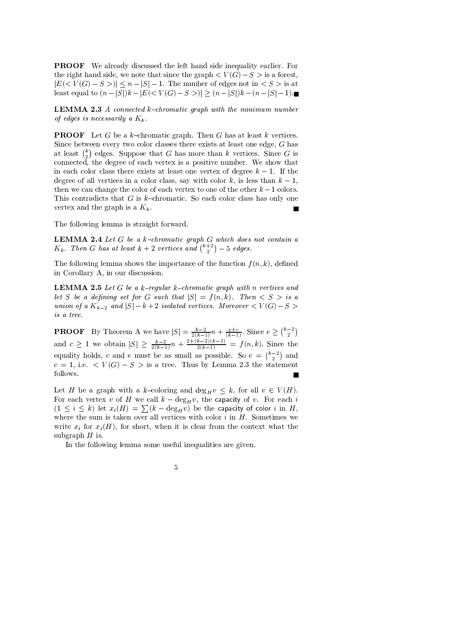**PROOF** We already discussed the left hand side inequality earlier. For the right hand side, we note that since the graph  $\lt V(G)-S>$  is a forest,  $|E(< V(G) - S >)| \le n - |S| - 1$ . The number of edges not in  $\langle S \rangle$  is at least equal to  $(n-|S|)k - |E| < V(G) - S > | \ge (n-|S|)k - (n-|S|-1)$ .

**LEMMA 2.3** A connected  $k$ -chromatic graph with the minimum number of edges is necessarily a  $K_k$ .

**PROOF** Let G be a  $k$ -chromatic graph. Then G has at least  $k$  vertices. Since between every two color classes there exists at least one edge,  $G$  has at least  $\binom{k}{2}$  edges. Suppose that G has more than k vertices. Since G is connected, the degree of each vertex is a positive number. We show that in each color class there exists at least one vertex of degree  $k-1$ . If the degree of all vertices in a color class, say with color k, is less than  $k-1$ . then we can change the color of each vertex to one of the other  $k-1$  colors. This contradicts that G is  $k$ -chromatic. So each color class has only one vertex and the graph is a  $K_k$ .

The following lemma is straight forward.

**LEMMA 2.4** Let  $G$  be a  $k$ -chromatic graph  $G$  which does not contain a  $K_k$ . Then G has at least  $k+2$  vertices and  $\binom{k+2}{2}$  - 5 edges.

The following lemma shows the importance of the function  $f(n, k)$ , defined in Corollary A, in our discussion.

**LEMMA 2.5** Let G be a k-regular k-chromatic graph with n vertices and let S be a defining set for G such that  $|S| = f(n,k)$ . Then  $\langle S \rangle$  is a union of a  $K_{k-2}$  and  $|S| - k + 2$  isolated vertices. Moreover  $\lt V(G) - S >$ is a tree.

**PROOF** By Theorem A we have  $|S| = \frac{k-2}{2(k-1)}n + \frac{e+c}{(k-1)}$ . Since  $e \geq {k-2 \choose 2}$ <br>and  $c \geq 1$  we obtain  $|S| \geq \frac{k-2}{2(k-1)}n + \frac{2+(k-2)(k-3)}{2(k-1)} = f(n, k)$ . Since the<br>equality holds, c and e must be as small as possible. So  $c = 1$ , i.e.  $\lt V(G) - S >$  is a tree. Thus by Lemma 2.3 the statement follows.  $\overline{\phantom{a}}$ 

Let H be a graph with a k-coloring and  $\deg_H v \leq k$ , for all  $v \in V(H)$ . For each vertex v of H we call  $k - \deg_H v$ , the capacity of v. For each i  $(1 \leq i \leq k)$  let  $x_i(H) = \sum (k - \deg_H v)$  be the capacity of color i in H, where the sum is taken over all vertices with color  $i$  in  $H$ . Sometimes we write  $x_i$  for  $x_i(H)$ , for short, when it is clear from the context what the subgraph  $H$  is

In the following lemma some useful inequalities are given.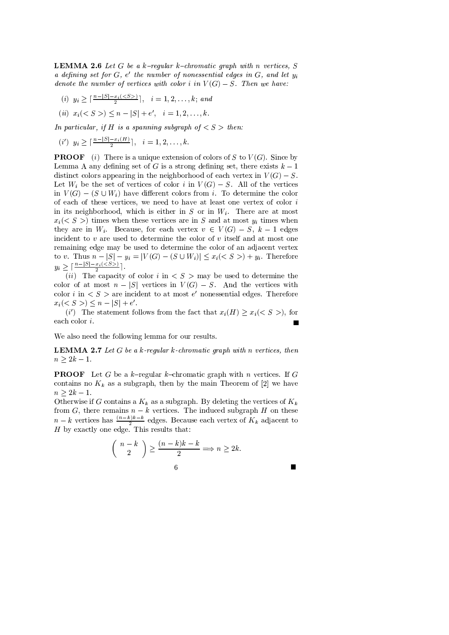**LEMMA 2.6** Let G be a k-regular k-chromatic graph with n vertices, S a defining set for  $G, e'$  the number of nonessential edges in  $G$ , and let  $y_i$ denote the number of vertices with color i in  $V(G) - S$ . Then we have:

- (i)  $y_i \geq \lceil \frac{n-|S|-x_i(\leq S)}{2} \rceil$ ,  $i = 1, 2, ..., k$ ; and
- (ii)  $x_i(< S>$  >  $) < n |S| + e'$ ,  $i = 1, 2, ..., k$ .

In particular, if H is a spanning subgraph of  $\langle S \rangle$  then:

$$
(i')
$$
  $y_i \geq \lceil \frac{n-|S|-x_i(H)}{2} \rceil$ ,  $i = 1, 2, ..., k$ .

**PROOF** (i) There is a unique extension of colors of S to  $V(G)$ . Since by Lemma A any defining set of G is a strong defining set, there exists  $k-1$ distinct colors appearing in the neighborhood of each vertex in  $V(G) - S$ . Let  $W_i$  be the set of vertices of color i in  $V(G) - S$ . All of the vertices in  $V(G) - (S \cup W_i)$  have different colors from i. To determine the color of each of these vertices, we need to have at least one vertex of color  $i$ in its neighborhood, which is either in S or in  $W_i$ . There are at most  $x_i \, \langle \, S \rangle$  times when these vertices are in S and at most  $y_i$  times when they are in  $W_i$ . Because, for each vertex  $v \in V(G) - S$ ,  $k-1$  edges incident to  $v$  are used to determine the color of  $v$  itself and at most one remaining edge may be used to determine the color of an adjacent vertex to v. Thus  $n - |S| - y_i = |V(G) - (S \cup W_i)| \leq x_i \leq S > + y_i$ . Therefore  $y_i \geq \lceil \frac{n-|S|-x_i(\leq S)}{2} \rceil$ .

(ii) The capacity of color i in  $\langle S \rangle$  may be used to determine the color of at most  $n - |S|$  vertices in  $V(G) - S$ . And the vertices with color i in  $\langle S \rangle$  are incident to at most e' nonessential edges. Therefore  $x_i(< S>) \leq n - |S| + e'.$ 

(i') The statement follows from the fact that  $x_i(H) \ge x_i(< S >)$ , for each color  $i$ . П

We also need the following lemma for our results.

**LEMMA 2.7** Let  $G$  be a  $k$ -regular  $k$ -chromatic graph with n vertices, then  $n > 2k - 1$ .

**PROOF** Let G be a k-regular k-chromatic graph with n vertices. If G contains no  $K_k$  as a subgraph, then by the main Theorem of [2] we have  $n > 2k - 1$ .

Otherwise if G contains a  $K_k$  as a subgraph. By deleting the vertices of  $K_k$ from G, there remains  $n - k$  vertices. The induced subgraph H on these  $n - k$  vertices has  $\frac{(n-k)k-k}{2}$  edges. Because each vertex of  $K_k$  adjacent to H by exactly one edge. This results that:

$$
\binom{n-k}{2} \ge \frac{(n-k)k-k}{2} \Longrightarrow n \ge 2k.
$$
6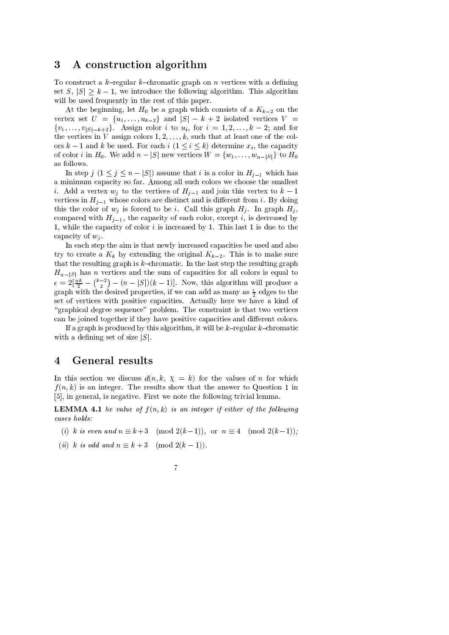### 3 A construction algorithm

To construct a k-regular k-chromatic graph on n vertices with a defining set  $S, |S| \geq k - 1$ , we introduce the following algorithm. This algorithm will be used frequently in the rest of this paper.

At the beginning, let  $H_0$  be a graph which consists of a  $K_{k-2}$  on the vertex set  $U = \{u_1, \ldots, u_{k-2}\}\$ and  $|S| - k + 2$  isolated vertices  $V =$  $\{v_1, \ldots, v_{|S|=k+2}\}\$ . Assign color *i* to  $u_i$ , for  $i = 1, 2, \ldots, k-2$ ; and for the vertices in V assign colors  $1, 2, \ldots, k$ , such that at least one of the colors  $k-1$  and k be used. For each  $i$   $(1 \leq i \leq k)$  determine  $x_i$ , the capacity of color *i* in  $H_0$ . We add  $n - |S|$  new vertices  $W = \{w_1, \ldots, w_{n-|S|}\}\$ to  $H_0$ as follows.

In step  $j$   $(1 \leq j \leq n - |S|)$  assume that i is a color in  $H_{j-1}$  which has a minimum capacity so far. Among all such colors we choose the smallest *i*. Add a vertex  $w_j$  to the vertices of  $H_{j-1}$  and join this vertex to  $k-1$ vertices in  $H_{j-1}$  whose colors are distinct and is different from i. By doing this the color of  $w_j$  is forced to be i. Call this graph  $H_j$ . In graph  $H_j$ , compared with  $H_{i-1}$ , the capacity of each color, except i, is decreased by 1, while the capacity of color  $i$  is increased by 1. This last 1 is due to the capacity of  $w_i$ .

In each step the aim is that newly increased capacities be used and also try to create a  $K_k$  by extending the original  $K_{k-2}$ . This is to make sure that the resulting graph is  $k$ -chromatic. In the last step the resulting graph  $H_{n-|S|}$  has *n* vertices and the sum of capacities for all colors is equal to  $\epsilon = 2\left[\frac{nk}{2} - {k-2 \choose 2} - (n-|S|)(k-1)\right]$ . Now, this algorithm will produce a graph with the desired properties, if we can add as many as  $\frac{\epsilon}{2}$  edges to the set of vertices with positive capacities. Actually here we have a kind of "graphical degree sequence" problem. The constraint is that two vertices can be joined together if they have positive capacities and different colors.

If a graph is produced by this algorithm, it will be  $k$ -regular  $k$ -chromatic with a defining set of size  $|S|$ .

### **General results**  $\overline{4}$

In this section we discuss  $d(n, k, \chi = k)$  for the values of n for which  $f(n,k)$  is an integer. The results show that the answer to Question 1 in [5], in general, is negative. First we note the following trivial lemma.

**LEMMA 4.1** he value of  $f(n, k)$  is an integer if either of the following cases holds:

- (i) k is even and  $n \equiv k+3 \pmod{2(k-1)}$ , or  $n \equiv 4 \pmod{2(k-1)}$ ;
- (ii) k is odd and  $n \equiv k+3 \pmod{2(k-1)}$ .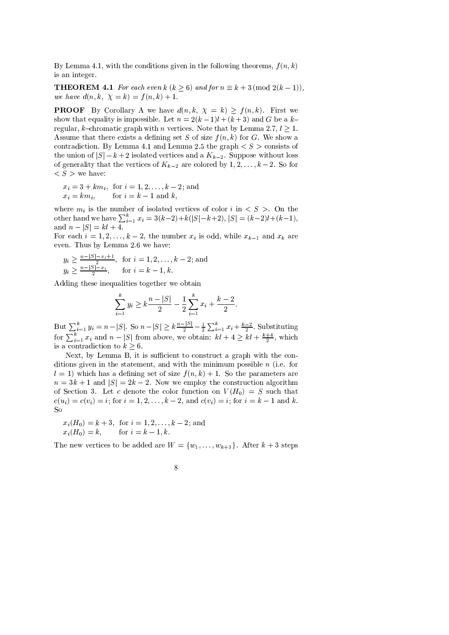By Lemma 4.1, with the conditions given in the following theorems,  $f(n, k)$ is an integer.

**THEOREM 4.1** For each even k ( $k \ge 6$ ) and for  $n \equiv k + 3 \pmod{2(k-1)}$ , we have  $d(n, k, \chi = k) = f(n, k) + 1$ .

**PROOF** By Corollary A we have  $d(n, k, \chi = k) \ge f(n, k)$ . First we show that equality is impossible. Let  $n = 2(k-1)l + (k+3)$  and G be a kregular, k-chromatic graph with *n* vertices. Note that by Lemma 2.7,  $l > 1$ . Assume that there exists a defining set S of size  $f(n, k)$  for G. We show a contradiction. By Lemma 4.1 and Lemma 2.5 the graph  $\langle S \rangle$  consists of the union of  $|S| - k + 2$  isolated vertices and a  $K_{k-2}$ . Suppose without loss of generality that the vertices of  $K_{k-2}$  are colored by  $1, 2, \ldots, k-2$ . So for  $\langle S \rangle$  we have:

$$
x_i = 3 + km_i
$$
, for  $i = 1, 2, ..., k - 2$ ; and  
\n $x_i = km_i$ , for  $i = k - 1$  and  $k$ ,

where  $m_i$  is the number of isolated vertices of color i in  $\langle S \rangle$ . On the other hand we have  $\sum_{i=1}^{k} x_i = 3(k-2)+k(|S|-k+2)$ ,  $|S| = (k-2)l+(k-1)$ , and  $n - |S| = kl + 4$ .

For each  $i = 1, 2, ..., k - 2$ , the number  $x_i$  is odd, while  $x_{k-1}$  and  $x_k$  are even. Thus by Lemma 2.6 we have:

$$
y_i \ge \frac{n-|S|-x_i+1}{2},
$$
 for  $i = 1, 2, ..., k-2$ ; and  
\n $y_i \ge \frac{n-|S|-x_i}{2},$  for  $i = k-1, k$ .

Adding these inequalities together we obtain

$$
\sum_{i=1}^{k} y_i \ge k \frac{n-|S|}{2} - \frac{1}{2} \sum_{i=1}^{k} x_i + \frac{k-2}{2}.
$$

But  $\sum_{i=1}^{k} y_i = n - |S|$ . So  $n - |S| \ge k \frac{n - |S|}{2} - \frac{1}{2} \sum_{i=1}^{k} x_i + \frac{k-2}{2}$ . Substituting for  $\sum_{i=1}^{k} x_i$  and  $n - |S|$  from above, we obtain:  $kl + 4 \ge kl + \frac{k+4}{2}$ , which is a contradiction to  $k \geq 6$ .

Next, by Lemma B, it is sufficient to construct a graph with the conditions given in the statement, and with the minimum possible  $n$  (i.e. for  $l = 1$ ) which has a defining set of size  $f(n, k) + 1$ . So the parameters are  $n = 3k + 1$  and  $|S| = 2k - 2$ . Now we employ the construction algorithm of Section 3. Let c denote the color function on  $V(H_0) = S$  such that  $c(u_i) = c(v_i) = i$ ; for  $i = 1, 2, ..., k - 2$ , and  $c(v_i) = i$ ; for  $i = k - 1$  and k. So

$$
x_i(H_0) = k + 3
$$
, for  $i = 1, 2, ..., k - 2$ ; and  
 $x_i(H_0) = k$ , for  $i = k - 1, k$ .

The new vertices to be added are  $W = \{w_1, \ldots, w_{k+3}\}\.$  After  $k+3$  steps

$$
8\,
$$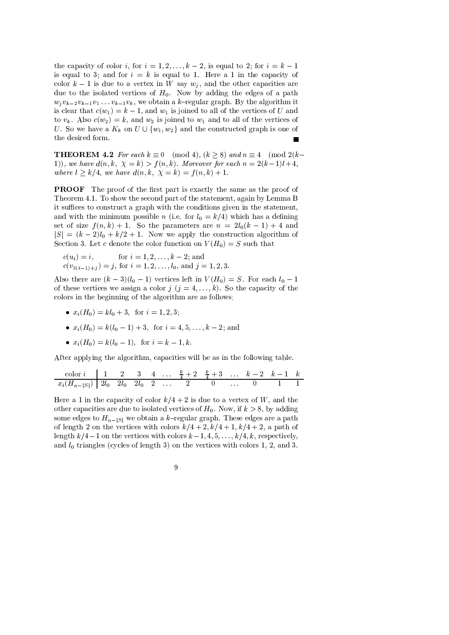the capacity of color i, for  $i = 1, 2, ..., k - 2$ , is equal to 2; for  $i = k - 1$ is equal to 3; and for  $i = k$  is equal to 1. Here a 1 in the capacity of color  $k-1$  is due to a vertex in W say  $w_j$ , and the other capacities are due to the isolated vertices of  $H_0$ . Now by adding the edges of a path  $w_j v_{k-2} v_{k-1} v_1 \ldots v_{k-3} v_k$ , we obtain a k-regular graph. By the algorithm it is clear that  $c(w_1) = k - 1$ , and  $w_1$  is joined to all of the vertices of U and to  $v_k$ . Also  $c(w_2) = k$ , and  $w_2$  is joined to  $w_1$  and to all of the vertices of U. So we have a  $K_k$  on  $U \cup \{w_1, w_2\}$  and the constructed graph is one of the desired form.

**THEOREM 4.2** For each  $k \equiv 0 \pmod{4}$ ,  $(k > 8)$  and  $n \equiv 4 \pmod{2(k-4)}$ 1)), we have  $d(n, k, \chi = k) > f(n, k)$ . Moreover for each  $n = 2(k-1)l + 4$ , where  $l \ge k/4$ , we have  $d(n, k, \chi = k) = f(n, k) + 1$ .

**PROOF** The proof of the first part is exactly the same as the proof of Theorem 4.1. To show the second part of the statement, again by Lemma B it suffices to construct a graph with the conditions given in the statement, and with the minimum possible *n* (i.e. for  $l_0 = k/4$ ) which has a defining set of size  $f(n,k) + 1$ . So the parameters are  $n = 2l_0(k-1) + 4$  and  $|S| = (k-2)l_0 + k/2 + 1$ . Now we apply the construction algorithm of Section 3. Let c denote the color function on  $V(H_0) = S$  such that

$$
c(u_i) = i
$$
, for  $i = 1, 2, ..., k-2$ ; and  
\n $c(v_{3(i-1)+j}) = j$ , for  $i = 1, 2, ..., l_0$ , and  $j = 1, 2, 3$ .

Also there are  $(k-3)(l_0-1)$  vertices left in  $V(H_0) = S$ . For each  $l_0 - 1$ of these vertices we assign a color  $j$   $(j = 4, ..., k)$ . So the capacity of the colors in the beginning of the algorithm are as follows;

- $x_i(H_0) = kl_0 + 3$ , for  $i = 1, 2, 3$ ;
- $x_i(H_0) = k(l_0 1) + 3$ , for  $i = 4, 5, ..., k 2$ ; and
- $x_i(H_0) = k(l_0 1)$ , for  $i = k 1, k$ .

After applying the algorithm, capacities will be as in the following table.

$$
\begin{array}{c|cccccccccccccc} \text{color } i & 1 & 2 & 3 & 4 & \dots & \frac{k}{4} + 2 & \frac{k}{4} + 3 & \dots & k-2 & k-1 & k \\ \hline x_i(H_{n-|S|}) & 2l_0 & 2l_0 & 2l_0 & 2 & \dots & 2 & 0 & \dots & 0 & 1 & 1 \end{array}
$$

Here a 1 in the capacity of color  $k/4 + 2$  is due to a vertex of W, and the other capacities are due to isolated vertices of  $H_0$ . Now, if  $k > 8$ , by adding some edges to  $H_{n-|S|}$  we obtain a k-regular graph. These edges are a path of length 2 on the vertices with colors  $k/4 + 2$ ,  $k/4 + 1$ ,  $k/4 + 2$ , a path of length  $k/4-1$  on the vertices with colors  $k-1, 4, 5, \ldots, k/4, k$ , respectively, and  $l_0$  triangles (cycles of length 3) on the vertices with colors 1, 2, and 3.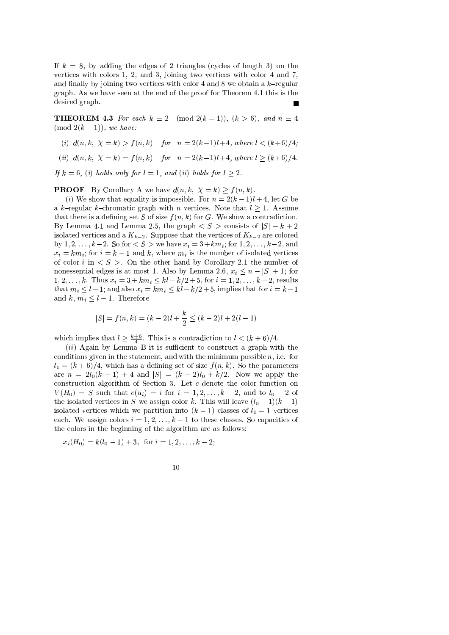If  $k = 8$ , by adding the edges of 2 triangles (cycles of length 3) on the vertices with colors 1, 2, and 3, joining two vertices with color 4 and 7, and finally by joining two vertices with color 4 and 8 we obtain a  $k$ -regular graph. As we have seen at the end of the proof for Theorem 4.1 this is the desired graph.

**THEOREM 4.3** For each  $k \equiv 2 \pmod{2(k-1)}$ ,  $(k > 6)$ , and  $n \equiv 4$  $\pmod{2(k-1)}$ , we have:

- (i)  $d(n, k, \chi = k) > f(n, k)$  for  $n = 2(k-1)l + 4$ , where  $l < (k+6)/4$ ;
- (ii)  $d(n, k, \chi = k) = f(n, k)$  for  $n = 2(k-1)l+4$ , where  $l \ge (k+6)/4$ .

If  $k = 6$ , (i) holds only for  $l = 1$ , and (ii) holds for  $l > 2$ .

**PROOF** By Corollary A we have  $d(n, k, \chi = k) \ge f(n, k)$ .

(i) We show that equality is impossible. For  $n = 2(k-1)l + 4$ , let G be a k-regular k-chromatic graph with *n* vertices. Note that  $l \geq 1$ . Assume that there is a defining set S of size  $f(n, k)$  for G. We show a contradiction. By Lemma 4.1 and Lemma 2.5, the graph  $\langle S \rangle$  consists of  $|S| - k + 2$ isolated vertices and a  $K_{k-2}$ . Suppose that the vertices of  $K_{k-2}$  are colored by 1, 2, ...,  $k-2$ . So for  $\lt S >$  we have  $x_i = 3 + km_i$ ; for  $1, 2, ..., k-2$ , and  $x_i = km_i$ ; for  $i = k - 1$  and k, where  $m_i$  is the number of isolated vertices of color i in  $\langle S \rangle$ . On the other hand by Corollary 2.1 the number of nonessential edges is at most 1. Also by Lemma 2.6,  $x_i \le n - |S| + 1$ ; for  $1, 2, \ldots, k$ . Thus  $x_i = 3 + km_i \le kl - k/2 + 5$ , for  $i = 1, 2, \ldots, k - 2$ , results that  $m_i \leq l-1$ ; and also  $x_i = km_i \leq kl - k/2 + 5$ , implies that for  $i = k-1$ and k,  $m_i \leq l-1$ . Therefore

$$
|S| = f(n,k) = (k-2)l + \frac{k}{2} \le (k-2)l + 2(l-1)
$$

which implies that  $l \ge \frac{k+6}{4}$ . This is a contradiction to  $l < (k+6)/4$ .<br>(*ii*) Again by Lemma B it is sufficient to construct a graph with the conditions given in the statement, and with the minimum possible  $n$ , i.e. for  $l_0 = (k+6)/4$ , which has a defining set of size  $f(n,k)$ . So the parameters are  $n = 2l_0(k-1) + 4$  and  $|S| = (k-2)l_0 + k/2$ . Now we apply the construction algorithm of Section 3. Let  $c$  denote the color function on  $V(H_0) = S$  such that  $c(u_i) = i$  for  $i = 1, 2, \ldots, k-2$ , and to  $l_0 - 2$  of the isolated vertices in S we assign color k. This will leave  $(l_0 - 1)(k - 1)$ isolated vertices which we partition into  $(k-1)$  classes of  $l_0-1$  vertices each. We assign colors  $i = 1, 2, ..., k - 1$  to these classes. So capacities of the colors in the beginning of the algorithm are as follows:

 $x_i(H_0) = k(l_0 - 1) + 3$ , for  $i = 1, 2, ..., k - 2$ ;

$$
10\,
$$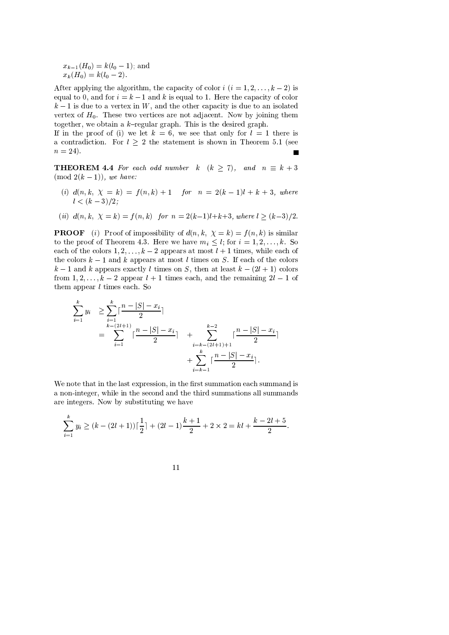$x_{k-1}(H_0) = k(l_0 - 1)$ ; and  $x_k(H_0) = k(l_0 - 2).$ 

After applying the algorithm, the capacity of color  $i$   $(i = 1, 2, \ldots, k - 2)$  is equal to 0, and for  $i = k - 1$  and k is equal to 1. Here the capacity of color  $k-1$  is due to a vertex in W, and the other capacity is due to an isolated vertex of  $H_0$ . These two vertices are not adjacent. Now by joining them together, we obtain a  $k$ -regular graph. This is the desired graph.

If in the proof of (i) we let  $k = 6$ , we see that only for  $l = 1$  there is a contradiction. For  $l \geq 2$  the statement is shown in Theorem 5.1 (see  $n = 24$ .  $\overline{\phantom{a}}$ 

**THEOREM 4.4** For each odd number  $k$   $(k \ge 7)$ , and  $n \equiv k+3$  $\pmod{2(k-1)}$ , we have:

- (i)  $d(n, k, \chi = k) = f(n, k) + 1$  for  $n = 2(k 1)l + k + 3$ , where  $l < (k-3)/2$ ;
- (ii)  $d(n, k, \chi = k) = f(n, k)$  for  $n = 2(k-1)l+k+3$ , where  $l \ge (k-3)/2$ .

**PROOF** (i) Proof of impossibility of  $d(n, k, \chi = k) = f(n, k)$  is similar to the proof of Theorem 4.3. Here we have  $m_i \leq l$ ; for  $i = 1, 2, ..., k$ . So each of the colors  $1, 2, \ldots, k-2$  appears at most  $l+1$  times, while each of the colors  $k-1$  and k appears at most l times on S. If each of the colors  $k-1$  and k appears exactly l times on S, then at least  $k-(2l+1)$  colors from 1, 2, ...,  $k-2$  appear  $l+1$  times each, and the remaining  $2l-1$  of them appear  $l$  times each. So

$$
\sum_{i=1}^{k} y_i \ge \sum_{i=1}^{k} \lceil \frac{n - |S| - x_i}{2} \rceil
$$
\n
$$
= \sum_{i=1}^{k - (2l+1)} \lceil \frac{n - |S| - x_i}{2} \rceil + \sum_{i=k - (2l+1) + 1}^{k-2} \lceil \frac{n - |S| - x_i}{2} \rceil
$$
\n
$$
+ \sum_{i=k-1}^{k} \lceil \frac{n - |S| - x_i}{2} \rceil.
$$

We note that in the last expression, in the first summation each summand is a non-integer, while in the second and the third summations all summands are integers. Now by substituting we have

$$
\sum_{i=1}^{k} y_i \ge (k - (2l + 1))\lceil \frac{1}{2} \rceil + (2l - 1)\frac{k+1}{2} + 2 \times 2 = kl + \frac{k - 2l + 5}{2}.
$$

$$
11\\
$$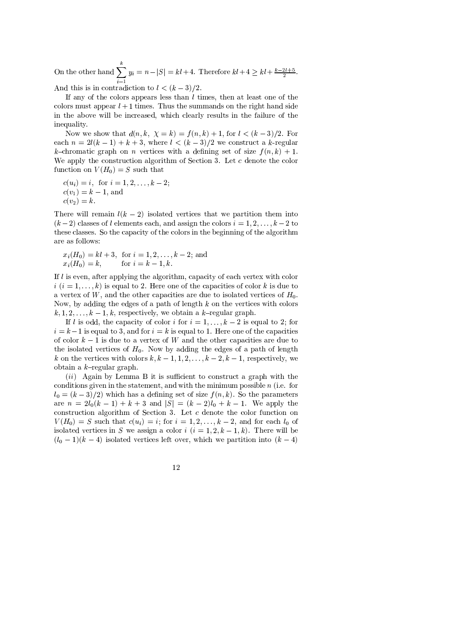On the other hand  $\sum_{i=1}^{k} y_i = n - |S| = kl + 4$ . Therefore  $kl + 4 \ge kl + \frac{k - 2l + 5}{2}$ . And this is in contradiction to  $l < (k-3)/2$ .

If any of the colors appears less than *l* times, then at least one of the colors must appear  $l + 1$  times. Thus the summands on the right hand side in the above will be increased, which clearly results in the failure of the inequality

Now we show that  $d(n, k, \chi = k) = f(n, k) + 1$ , for  $l < (k-3)/2$ . For each  $n = 2l(k-1) + k + 3$ , where  $l < (k-3)/2$  we construct a k-regular k-chromatic graph on n vertices with a defining set of size  $f(n, k) + 1$ . We apply the construction algorithm of Section 3. Let  $c$  denote the color function on  $V(H_0) = S$  such that

$$
c(u_i) = i
$$
, for  $i = 1, 2, ..., k - 2$ ;  
\n $c(v_1) = k - 1$ , and  
\n $c(v_2) = k$ .

There will remain  $l(k-2)$  isolated vertices that we partition them into  $(k-2)$  classes of l elements each, and assign the colors  $i = 1, 2, ..., k-2$  to these classes. So the capacity of the colors in the beginning of the algorithm are as follows:

$$
x_i(H_0) = kl + 3
$$
, for  $i = 1, 2, ..., k - 2$ ; and  
 $x_i(H_0) = k$ , for  $i = k - 1, k$ .

If l is even, after applying the algorithm, capacity of each vertex with color  $i$   $(i = 1, \ldots, k)$  is equal to 2. Here one of the capacities of color k is due to a vertex of  $W$ , and the other capacities are due to isolated vertices of  $H_0$ . Now, by adding the edges of a path of length  $k$  on the vertices with colors  $k, 1, 2, \ldots, k-1, k$ , respectively, we obtain a k-regular graph.

If *l* is odd, the capacity of color *i* for  $i = 1, ..., k - 2$  is equal to 2; for  $i = k-1$  is equal to 3, and for  $i = k$  is equal to 1. Here one of the capacities of color  $k-1$  is due to a vertex of W and the other capacities are due to the isolated vertices of  $H_0$ . Now by adding the edges of a path of length k on the vertices with colors  $k, k-1, 1, 2, ..., k-2, k-1$ , respectively, we obtain a  $k$ -regular graph.

 $(ii)$  Again by Lemma B it is sufficient to construct a graph with the conditions given in the statement, and with the minimum possible  $n$  (i.e. for  $l_0 = (k-3)/2$  which has a defining set of size  $f(n, k)$ . So the parameters are  $n = 2l_0(k-1) + k + 3$  and  $|S| = (k-2)l_0 + k - 1$ . We apply the construction algorithm of Section 3. Let  $c$  denote the color function on  $V(H_0) = S$  such that  $c(u_i) = i$ ; for  $i = 1, 2, ..., k-2$ , and for each  $l_0$  of isolated vertices in S we assign a color  $i$   $(i = 1, 2, k - 1, k)$ . There will be  $(l_0-1)(k-4)$  isolated vertices left over, which we partition into  $(k-4)$ 

$$
12\quad
$$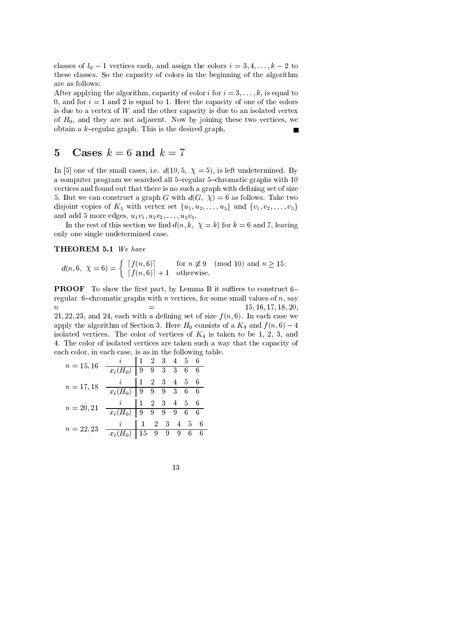classes of  $l_0 - 1$  vertices each, and assign the colors  $i = 3, 4, ..., k - 2$  to these classes. So the capacity of colors in the beginning of the algorithm are as follows:

After applying the algorithm, capacity of color i for  $i = 3, \ldots, k$ , is equal to 0, and for  $i = 1$  and 2 is equal to 1. Here the capacity of one of the colors is due to a vertex of  $W$  and the other capacity is due to an isolated vertex of  $H_0$ , and they are not adjacent. Now by joining these two vertices, we obtain a  $k$ -regular graph. This is the desired graph.

#### Cases  $k = 6$  and  $k = 7$  $\overline{5}$

In [5] one of the small cases, i.e.  $d(10,5, \chi = 5)$ , is left undetermined. By a computer program we searched all 5-regular 5-chromatic graphs with 10 vertices and found out that there is no such a graph with defining set of size 5. But we can construct a graph G with  $d(G, \chi) = 6$  as follows. Take two disjoint copies of  $K_5$  with vertex set  $\{u_1, u_2, \ldots, u_5\}$  and  $\{v_1, v_2, \ldots, v_5\}$ and add 5 more edges,  $u_1v_1, u_2v_2, ..., u_5v_5$ .

In the rest of this section we find  $d(n, k, \chi = k)$  for  $k = 6$  and 7, leaving only one single undetermined case.

### THEOREM 5.1 We have

$$
d(n, 6, \ \chi = 6) = \left\{ \begin{array}{ll} \lceil f(n, 6) \rceil & \text{for } n \not\equiv 9 \pmod{10} \text{ and } n \ge 15; \\ \lceil f(n, 6) \rceil + 1 & \text{otherwise.} \end{array} \right.
$$

**PROOF** To show the first part, by Lemma B it suffices to construct 6– regular 6-chromatic graphs with *n* vertices, for some small values of *n*, say  $\overline{n}$  $15, 16, 17, 18, 20,$ 21, 22, 23, and 24, each with a defining set of size  $f(n,6)$ . In each case we apply the algorithm of Section 3. Here  $H_0$  consists of a  $K_4$  and  $f(n,6) - 4$ isolated vertices. The color of vertices of  $K_4$  is taken to be 1, 2, 3, and 4. The color of isolated vertices are taken such a way that the capacity of each color, in each case, is as in the following table.

$$
n = 15,16 \quad \frac{i}{x_i(H_0)} \quad \frac{1}{9} \quad \frac{2}{9} \quad \frac{3}{3} \quad \frac{4}{6} \quad \frac{5}{6}
$$
\n
$$
n = 17,18 \quad \frac{i}{x_i(H_0)} \quad \frac{1}{9} \quad \frac{2}{9} \quad \frac{3}{9} \quad \frac{4}{3} \quad \frac{5}{6}
$$
\n
$$
n = 20,21 \quad \frac{i}{x_i(H_0)} \quad \frac{1}{9} \quad \frac{2}{9} \quad \frac{3}{9} \quad \frac{4}{9} \quad \frac{5}{6}
$$
\n
$$
n = 22,23 \quad \frac{i}{x_i(H_0)} \quad \frac{1}{15} \quad \frac{2}{9} \quad \frac{3}{9} \quad \frac{4}{9} \quad \frac{5}{6}
$$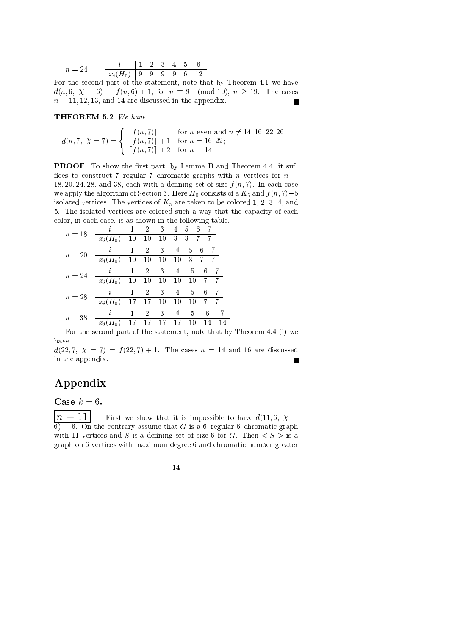$$
n = 24 \qquad \frac{i}{x_i(H_0)} \begin{array}{|ccc|} 1 & 2 & 3 & 4 & 5 & 6 \\ \hline 9 & 9 & 9 & 9 & 6 & 12 \\ \end{array}
$$

For the second part of the statement, note that by Theorem 4.1 we have  $d(n,6, \chi = 6) = f(n,6) + 1$ , for  $n \equiv 9 \pmod{10}$ ,  $n \ge 19$ . The cases  $n = 11, 12, 13,$  and 14 are discussed in the appendix. п

THEOREM 5.2 We have

 $d(n, 7, \ \chi = 7) = \begin{cases} \begin{array}{ll} \begin{bmatrix} f(n, 7) \end{bmatrix} & \text{for } n \text{ even and } n \neq 14, 16, 22, 26; \\ \begin{bmatrix} f(n, 7) \end{bmatrix} + 1 & \text{for } n = 16, 22; \\ \begin{bmatrix} f(n, 7) \end{bmatrix} + 2 & \text{for } n = 14. \end{cases} \end{cases}$ 

**PROOF** To show the first part, by Lemma B and Theorem 4.4, it suffices to construct 7-regular 7-chromatic graphs with n vertices for  $n =$ 18, 20, 24, 28, and 38, each with a defining set of size  $f(n, 7)$ . In each case we apply the algorithm of Section 3. Here  $H_0$  consists of a  $K_5$  and  $f(n, 7)-5$ isolated vertices. The vertices of  $K_5$  are taken to be colored 1, 2, 3, 4, and 5. The isolated vertices are colored such a way that the capacity of each color, in each case, is as shown in the following table.

| $n=18$ | $\imath$              | $\mathbf{1}$ | $\overline{2}$    | $\mathbf{3}$ |                | $4\quad 5\quad 6$ |       |             |
|--------|-----------------------|--------------|-------------------|--------------|----------------|-------------------|-------|-------------|
|        | $x_i(H_0)$            | 10           | 10 10 3 3 7 7     |              |                |                   |       |             |
| $n=20$ | i                     | $\mathbf{1}$ | 2                 | -3           | $\overline{4}$ | 5                 | -6    | -7          |
|        | $\overline{x_i}(H_0)$ |              | 10 10 10 10 3 7 7 |              |                |                   |       |             |
| $n=24$ | i                     | $\mathbf{1}$ | 2 <sup>1</sup>    | -3           | $\overline{4}$ | -5                | 6     | -7          |
|        | $x_i(H_0)$            | 10           | $10\quad10$       |              | 10             | 10                | $7 -$ | $7^{\circ}$ |
| $n=28$ | i.                    | -1           | $\overline{2}$    | -3           | $\overline{4}$ | -5                | 6     | -7          |
|        | $x_i(H_0)$            | 17           | 17 10             |              | 10             | 10                | 7.    | 7.          |
| $n=38$ | i                     | 1            | $\overline{2}$    | 3            | 4              | 5                 | 6     |             |
|        | $x_i$                 | 17           | 17                | 17           | 17             | 10                | 14    | 14          |

For the second part of the statement, note that by Theorem 4.4 (i) we have

 $d(22, 7, \chi = 7) = f(22, 7) + 1$ . The cases  $n = 14$  and 16 are discussed in the appendix.

## Appendix

Case  $k=6$ .

 $\boxed{n=11}$ First we show that it is impossible to have  $d(11,6, \chi =$  $\overline{6}$  = 6. On the contrary assume that G is a 6-regular 6-chromatic graph with 11 vertices and S is a defining set of size 6 for G. Then  $\langle S \rangle$  is a graph on 6 vertices with maximum degree 6 and chromatic number greater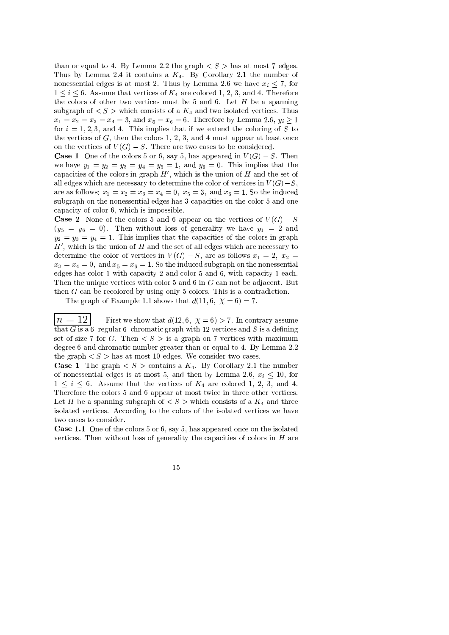than or equal to 4. By Lemma 2.2 the graph  $\langle S \rangle$  has at most 7 edges. Thus by Lemma 2.4 it contains a  $K_4$ . By Corollary 2.1 the number of nonessential edges is at most 2. Thus by Lemma 2.6 we have  $x_i \leq 7$ , for  $1 \leq i \leq 6$ . Assume that vertices of  $K_4$  are colored 1, 2, 3, and 4. Therefore the colors of other two vertices must be 5 and 6. Let  $H$  be a spanning subgraph of  $\langle S \rangle$  which consists of a  $K_4$  and two isolated vertices. Thus  $x_1 = x_2 = x_3 = x_4 = 3$ , and  $x_5 = x_6 = 6$ . Therefore by Lemma 2.6,  $y_i \ge 1$ for  $i = 1, 2, 3$ , and 4. This implies that if we extend the coloring of S to the vertices of  $G$ , then the colors 1, 2, 3, and 4 must appear at least once on the vertices of  $V(G) - S$ . There are two cases to be considered.

**Case 1** One of the colors 5 or 6, say 5, has appeared in  $V(G) - S$ . Then we have  $y_1 = y_2 = y_3 = y_4 = y_5 = 1$ , and  $y_6 = 0$ . This implies that the capacities of the colors in graph  $H'$ , which is the union of  $H$  and the set of all edges which are necessary to determine the color of vertices in  $V(G)-S$ , are as follows:  $x_1 = x_2 = x_3 = x_4 = 0$ ,  $x_5 = 3$ , and  $x_6 = 1$ . So the induced subgraph on the nonessential edges has 3 capacities on the color 5 and one capacity of color 6, which is impossible.

**Case 2** None of the colors 5 and 6 appear on the vertices of  $V(G) - S$  $(y_5 = y_6 = 0)$ . Then without loss of generality we have  $y_1 = 2$  and  $y_2 = y_3 = y_4 = 1$ . This implies that the capacities of the colors in graph  $H'$ , which is the union of H and the set of all edges which are necessary to determine the color of vertices in  $V(G) - S$ , are as follows  $x_1 = 2$ ,  $x_2 =$  $x_3 = x_4 = 0$ , and  $x_5 = x_6 = 1$ . So the induced subgraph on the nonessential edges has color 1 with capacity 2 and color 5 and 6, with capacity 1 each. Then the unique vertices with color 5 and 6 in  $G$  can not be adjacent. But then  $G$  can be recolored by using only 5 colors. This is a contradiction.

The graph of Example 1.1 shows that  $d(11,6, \chi = 6) = 7$ .

 $=12$  $\lfloor n \rfloor$ First we show that  $d(12,6, \chi = 6) > 7$ . In contrary assume that G is a 6-regular 6-chromatic graph with 12 vertices and S is a defining set of size 7 for G. Then  $\langle S \rangle$  is a graph on 7 vertices with maximum degree 6 and chromatic number greater than or equal to 4. By Lemma 2.2 the graph  $\langle S \rangle$  has at most 10 edges. We consider two cases.

**Case 1** The graph  $\langle S \rangle$  contains a  $K_4$ . By Corollary 2.1 the number of nonessential edges is at most 5, and then by Lemma 2.6,  $x_i \le 10$ , for  $1 \leq i \leq 6$ . Assume that the vertices of  $K_4$  are colored 1, 2, 3, and 4. Therefore the colors 5 and 6 appear at most twice in three other vertices. Let H be a spanning subgraph of  $\langle S \rangle$  which consists of a  $K_4$  and three isolated vertices. According to the colors of the isolated vertices we have two cases to consider.

Case 1.1 One of the colors 5 or 6, say 5, has appeared once on the isolated vertices. Then without loss of generality the capacities of colors in  $H$  are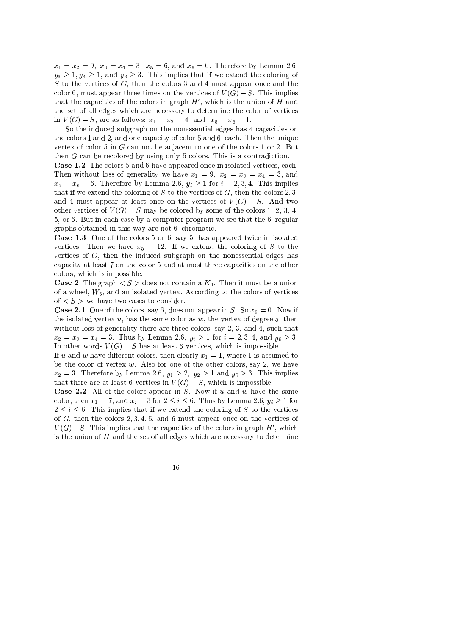$x_1 = x_2 = 9$ ,  $x_3 = x_4 = 3$ ,  $x_5 = 6$ , and  $x_6 = 0$ . Therefore by Lemma 2.6,  $y_3 \ge 1, y_4 \ge 1$ , and  $y_6 \ge 3$ . This implies that if we extend the coloring of  $S$  to the vertices of  $G$ , then the colors 3 and 4 must appear once and the color 6, must appear three times on the vertices of  $V(G) - S$ . This implies that the capacities of the colors in graph  $H'$ , which is the union of  $H$  and the set of all edges which are necessary to determine the color of vertices in  $V(G) - S$ , are as follows:  $x_1 = x_2 = 4$  and  $x_5 = x_6 = 1$ .

So the induced subgraph on the nonessential edges has 4 capacities on the colors 1 and 2, and one capacity of color 5 and 6, each. Then the unique vertex of color 5 in  $G$  can not be adjacent to one of the colors 1 or 2. But then  $G$  can be recolored by using only 5 colors. This is a contradiction.

Case 1.2 The colors 5 and 6 have appeared once in isolated vertices, each. Then without loss of generality we have  $x_1 = 9$ ,  $x_2 = x_3 = x_4 = 3$ , and  $x_5 = x_6 = 6$ . Therefore by Lemma 2.6,  $y_i \ge 1$  for  $i = 2, 3, 4$ . This implies that if we extend the coloring of  $S$  to the vertices of  $G$ , then the colors 2, 3, and 4 must appear at least once on the vertices of  $V(G) - S$ . And two other vertices of  $V(G) - S$  may be colored by some of the colors 1, 2, 3, 4, 5, or 6. But in each case by a computer program we see that the 6-regular graphs obtained in this way are not 6-chromatic.

Case 1.3 One of the colors 5 or 6, say 5, has appeared twice in isolated vertices. Then we have  $x_5 = 12$ . If we extend the coloring of S to the vertices of  $G$ , then the induced subgraph on the nonessential edges has capacity at least 7 on the color 5 and at most three capacities on the other colors, which is impossible.

**Case 2** The graph  $\lt S$   $>$  does not contain a  $K_4$ . Then it must be a union of a wheel,  $W_5$ , and an isolated vertex. According to the colors of vertices of  $\langle S \rangle$  we have two cases to consider.

**Case 2.1** One of the colors, say 6, does not appear in S. So  $x_6 = 0$ . Now if the isolated vertex  $u$ , has the same color as  $w$ , the vertex of degree 5, then without loss of generality there are three colors, say 2, 3, and 4, such that  $x_2 = x_3 = x_4 = 3$ . Thus by Lemma 2.6,  $y_i \ge 1$  for  $i = 2, 3, 4$ , and  $y_6 \ge 3$ . In other words  $V(G) - S$  has at least 6 vertices, which is impossible.

If u and w have different colors, then clearly  $x_1 = 1$ , where 1 is assumed to be the color of vertex  $w$ . Also for one of the other colors, say 2, we have  $x_2 = 3$ . Therefore by Lemma 2.6,  $y_1 \ge 2$ ,  $y_2 \ge 1$  and  $y_6 \ge 3$ . This implies that there are at least 6 vertices in  $V(G) - S$ , which is impossible.

**Case 2.2** All of the colors appear in S. Now if  $u$  and  $w$  have the same color, then  $x_1 = 7$ , and  $x_i = 3$  for  $2 \le i \le 6$ . Thus by Lemma 2.6,  $y_i \ge 1$  for  $2 \leq i \leq 6$ . This implies that if we extend the coloring of S to the vertices of  $G$ , then the colors 2, 3, 4, 5, and 6 must appear once on the vertices of  $V(G)-S$ . This implies that the capacities of the colors in graph H', which is the union of  $H$  and the set of all edges which are necessary to determine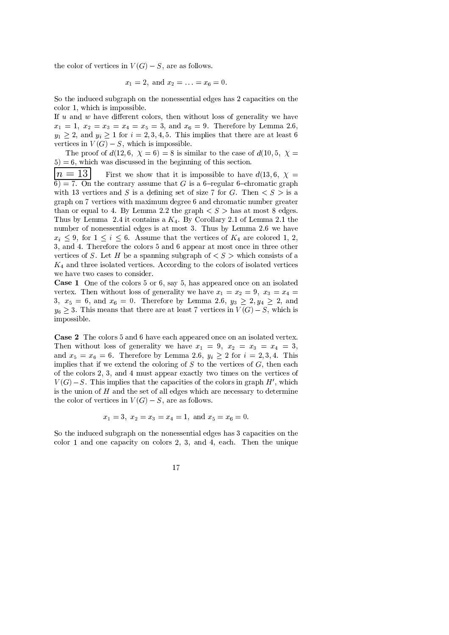the color of vertices in  $V(G) - S$ , are as follows.

$$
x_1 = 2
$$
, and  $x_2 = \ldots = x_6 = 0$ .

So the induced subgraph on the nonessential edges has 2 capacities on the color 1, which is impossible.

If  $u$  and  $w$  have different colors, then without loss of generality we have  $x_1 = 1, x_2 = x_3 = x_4 = x_5 = 3,$  and  $x_6 = 9$ . Therefore by Lemma 2.6,  $y_1 \geq 2$ , and  $y_i \geq 1$  for  $i = 2, 3, 4, 5$ . This implies that there are at least 6 vertices in  $V(G) - S$ , which is impossible.

The proof of  $d(12,6, \chi = 6) = 8$  is similar to the case of  $d(10,5, \chi = 6)$  $5$ ) = 6, which was discussed in the beginning of this section.

 $n=13$ First we show that it is impossible to have  $d(13,6, \chi =$  $\overline{6}$  = 7. On the contrary assume that G is a 6-regular 6-chromatic graph with 13 vertices and S is a defining set of size 7 for G. Then  $\langle S \rangle$  is a graph on 7 vertices with maximum degree 6 and chromatic number greater than or equal to 4. By Lemma 2.2 the graph  $\langle S \rangle$  has at most 8 edges. Thus by Lemma 2.4 it contains a  $K_4$ . By Corollary 2.1 of Lemma 2.1 the number of nonessential edges is at most 3. Thus by Lemma 2.6 we have  $x_i \leq 9$ , for  $1 \leq i \leq 6$ . Assume that the vertices of  $K_4$  are colored 1, 2, 3, and 4. Therefore the colors 5 and 6 appear at most once in three other vertices of S. Let H be a spanning subgraph of  $\lt S$   $>$  which consists of a  $K_4$  and three isolated vertices. According to the colors of isolated vertices we have two cases to consider.

Case 1 One of the colors 5 or 6, say 5, has appeared once on an isolated vertex. Then without loss of generality we have  $x_1 = x_2 = 9$ ,  $x_3 = x_4 =$ 3,  $x_5 = 6$ , and  $x_6 = 0$ . Therefore by Lemma 2.6,  $y_3 \ge 2, y_4 \ge 2$ , and  $y_6 \geq 3$ . This means that there are at least 7 vertices in  $V(G) - S$ , which is impossible.

Case 2 The colors 5 and 6 have each appeared once on an isolated vertex. Then without loss of generality we have  $x_1 = 9$ ,  $x_2 = x_3 = x_4 = 3$ , and  $x_5 = x_6 = 6$ . Therefore by Lemma 2.6,  $y_i \ge 2$  for  $i = 2, 3, 4$ . This implies that if we extend the coloring of  $S$  to the vertices of  $G$ , then each of the colors 2, 3, and 4 must appear exactly two times on the vertices of  $V(G)-S$ . This implies that the capacities of the colors in graph H', which is the union of  $H$  and the set of all edges which are necessary to determine the color of vertices in  $V(G) - S$ , are as follows.

$$
x_1 = 3
$$
,  $x_2 = x_3 = x_4 = 1$ , and  $x_5 = x_6 = 0$ .

So the induced subgraph on the nonessential edges has 3 capacities on the color 1 and one capacity on colors 2, 3, and 4, each. Then the unique

$$
17\,
$$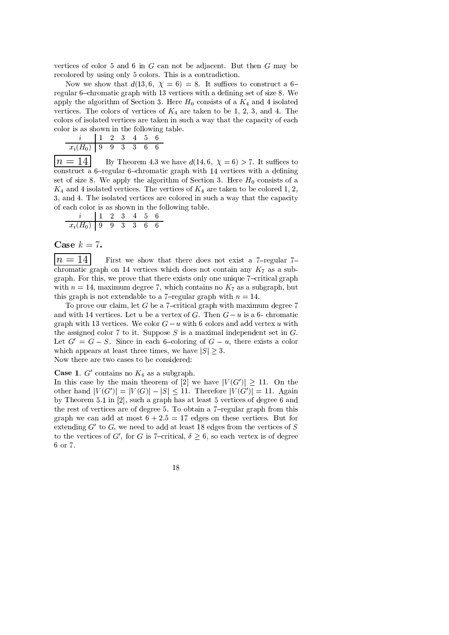vertices of color 5 and 6 in  $G$  can not be adjacent. But then  $G$  may be recolored by using only 5 colors. This is a contradiction.

Now we show that  $d(13,6, \chi = 6) = 8$ . It suffices to construct a 6regular 6-chromatic graph with 13 vertices with a defining set of size 8. We apply the algorithm of Section 3. Here  $H_0$  consists of a  $K_4$  and 4 isolated vertices. The colors of vertices of  $K_4$  are taken to be 1, 2, 3, and 4. The colors of isolated vertices are taken in such a way that the capacity of each color is as shown in the following table.

$$
\begin{array}{c|cccccc} i & 1 & 2 & 3 & 4 & 5 & 6 \\ \hline x_i(H_0) & 9 & 9 & 3 & 3 & 6 & 6 \end{array}
$$

 $n=14$ By Theorem 4.3 we have  $d(14,6, \chi = 6) > 7$ . It suffices to construct a 6-regular 6-chromatic graph with 14 vertices with a defining set of size 8. We apply the algorithm of Section 3. Here  $H_0$  consists of a  $K_4$  and 4 isolated vertices. The vertices of  $K_4$  are taken to be colored 1, 2, 3, and 4. The isolated vertices are colored in such a way that the capacity of each color is as shown in the following table.

$$
\begin{array}{c|ccccccccc}\ni & 1 & 2 & 3 & 4 & 5 & 6 \\
\hline\nx_i(H_0) & 9 & 9 & 3 & 3 & 6 & 6\n\end{array}
$$

Case  $k = 7$ .

 $=14$  $\left| n\right\rangle$ First we show that there does not exist a  $7$ -regular  $7$ chromatic graph on 14 vertices which does not contain any  $K_7$  as a subgraph. For this, we prove that there exists only one unique 7-critical graph with  $n = 14$ , maximum degree 7, which contains no  $K_7$  as a subgraph, but this graph is not extendable to a 7-regular graph with  $n = 14$ .

To prove our claim, let  $G$  be a 7-critical graph with maximum degree 7 and with 14 vertices. Let u be a vertex of G. Then  $G - u$  is a 6- chromatic graph with 13 vertices. We color  $G-u$  with 6 colors and add vertex u with the assigned color 7 to it. Suppose  $S$  is a maximal independent set in  $G$ . Let  $G' = G - S$ . Since in each 6-coloring of  $G - u$ , there exists a color which appears at least three times, we have  $|S| \geq 3$ . Now there are two cases to be considered:

**Case 1.** G' contains no  $K_6$  as a subgraph.

In this case by the main theorem of [2] we have  $|V(G')| \ge 11$ . On the other hand  $|V(G')| = |V(G)| - |S| < 11$ . Therefore  $|V(G')| = 11$ . Again by Theorem 5.1 in [2], such a graph has at least 5 vertices of degree 6 and the rest of vertices are of degree 5. To obtain a 7-regular graph from this graph we can add at most  $6 + 2.5 = 17$  edges on these vertices. But for extending  $G'$  to G, we need to add at least 18 edges from the vertices of S to the vertices of G', for G is 7-critical,  $\delta > 6$ , so each vertex is of degree 6 or 7.

$$
^{18}
$$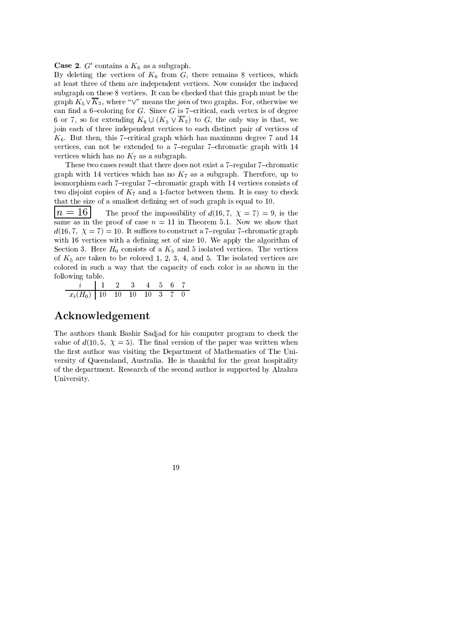**Case 2.**  $G'$  contains a  $K_6$  as a subgraph.

By deleting the vertices of  $K_6$  from G, there remains 8 vertices, which at least three of them are independent vertices. Now consider the induced subgraph on these 8 vertices. It can be checked that this graph must be the graph  $K_5 \vee \overline{K}_3$ , where " $\vee$ " means the *join* of two graphs. For, otherwise we can find a 6-coloring for  $G$ . Since  $G$  is 7-critical, each vertex is of degree 6 or 7, so for extending  $K_6 \cup (K_5 \vee \overline{K}_3)$  to G, the only way is that, we join each of three independent vertices to each distinct pair of vertices of  $K_6$ . But then, this 7-critical graph which has maximum degree 7 and 14 vertices, can not be extended to a 7-regular 7-chromatic graph with 14 vertices which has no  $K_7$  as a subgraph.

These two cases result that there does not exist a 7-regular 7-chromatic graph with 14 vertices which has no  $K_7$  as a subgraph. Therefore, up to isomorphism each 7-regular 7-chromatic graph with 14 vertices consists of two disjoint copies of  $K_7$  and a 1-factor between them. It is easy to check that the size of a smallest defining set of such graph is equal to 10.

 $n=16$ The proof the impossibility of  $d(16,7, \chi = 7) = 9$ , is the same as in the proof of case  $n = 11$  in Theorem 5.1. Now we show that  $d(16,7, \chi = 7) = 10$ . It suffices to construct a 7-regular 7-chromatic graph with 16 vertices with a defining set of size 10. We apply the algorithm of Section 3. Here  $H_0$  consists of a  $K_5$  and 5 isolated vertices. The vertices of  $K_5$  are taken to be colored 1, 2, 3, 4, and 5. The isolated vertices are colored in such a way that the capacity of each color is as shown in the following table.

 $\frac{7}{x_i(H_0)}$  1 2 3 4 5 6 7<br> $\frac{7}{x_i(H_0)}$  10 10 10 10 3 7 0

## Acknowledgement

The authors thank Bashir Sadjad for his computer program to check the value of  $d(10,5, \chi = 5)$ . The final version of the paper was written when the first author was visiting the Department of Mathematics of The University of Queensland, Australia. He is thankful for the great hospitality of the department. Research of the second author is supported by Alzahra University.